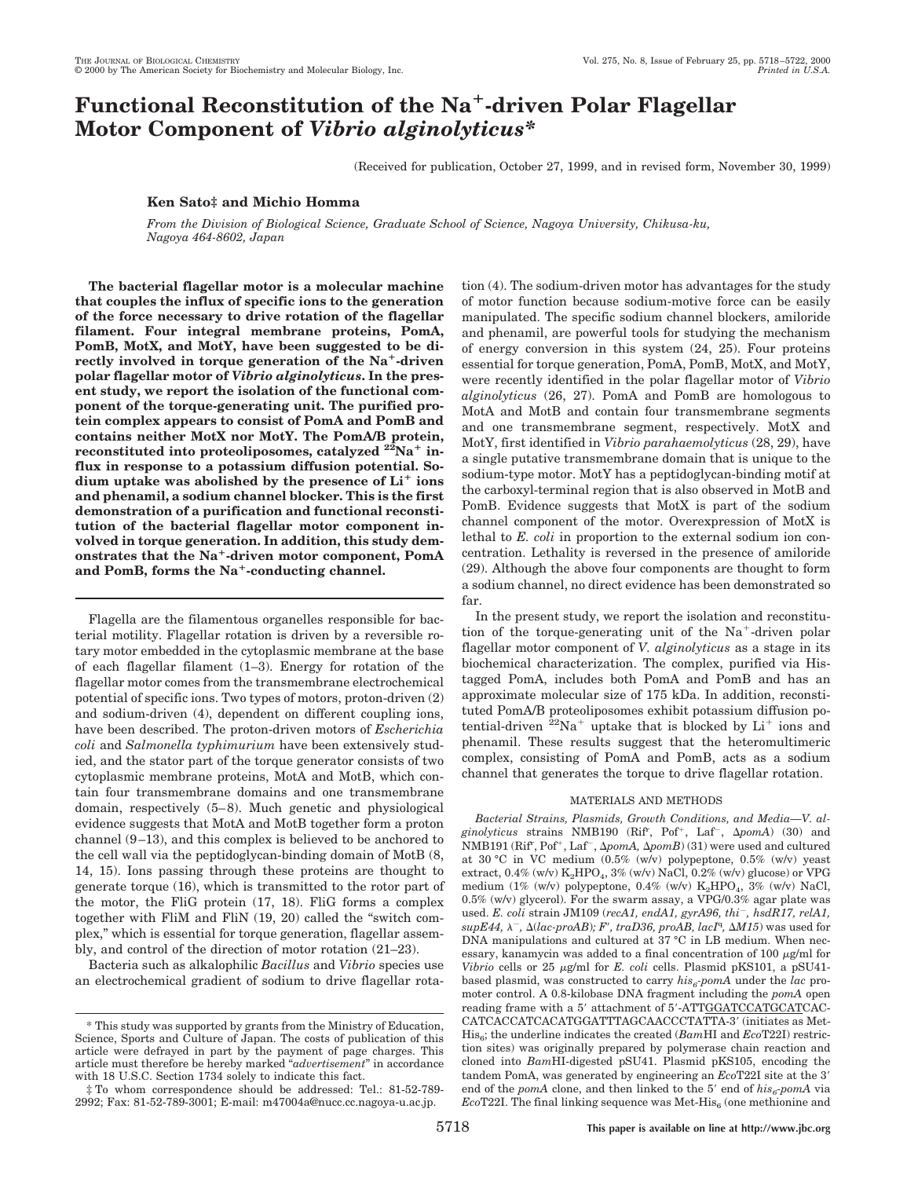# **Functional Reconstitution of the Na**1**-driven Polar Flagellar Motor Component of** *Vibrio alginolyticus\**

(Received for publication, October 27, 1999, and in revised form, November 30, 1999)

## **Ken Sato‡ and Michio Homma**

*From the Division of Biological Science, Graduate School of Science, Nagoya University, Chikusa-ku, Nagoya 464-8602, Japan*

**The bacterial flagellar motor is a molecular machine that couples the influx of specific ions to the generation of the force necessary to drive rotation of the flagellar filament. Four integral membrane proteins, PomA, PomB, MotX, and MotY, have been suggested to be di**rectly involved in torque generation of the Na<sup>+</sup>-driven **polar flagellar motor of** *Vibrio alginolyticus***. In the present study, we report the isolation of the functional component of the torque-generating unit. The purified protein complex appears to consist of PomA and PomB and contains neither MotX nor MotY. The PomA/B protein, reconstituted into proteoliposomes, catalyzed**  $22\text{Na}^+$  in**flux in response to a potassium diffusion potential. So**dium uptake was abolished by the presence of  $Li^+$  ions **and phenamil, a sodium channel blocker. This is the first demonstration of a purification and functional reconstitution of the bacterial flagellar motor component involved in torque generation. In addition, this study demonstrates that the Na**1**-driven motor component, PomA** and PomB, forms the Na<sup>+</sup>-conducting channel.

Flagella are the filamentous organelles responsible for bacterial motility. Flagellar rotation is driven by a reversible rotary motor embedded in the cytoplasmic membrane at the base of each flagellar filament (1–3). Energy for rotation of the flagellar motor comes from the transmembrane electrochemical potential of specific ions. Two types of motors, proton-driven (2) and sodium-driven (4), dependent on different coupling ions, have been described. The proton-driven motors of *Escherichia coli* and *Salmonella typhimurium* have been extensively studied, and the stator part of the torque generator consists of two cytoplasmic membrane proteins, MotA and MotB, which contain four transmembrane domains and one transmembrane domain, respectively (5–8). Much genetic and physiological evidence suggests that MotA and MotB together form a proton channel (9–13), and this complex is believed to be anchored to the cell wall via the peptidoglycan-binding domain of MotB (8, 14, 15). Ions passing through these proteins are thought to generate torque (16), which is transmitted to the rotor part of the motor, the FliG protein (17, 18). FliG forms a complex together with FliM and FliN (19, 20) called the "switch complex," which is essential for torque generation, flagellar assembly, and control of the direction of motor rotation (21–23).

Bacteria such as alkalophilic *Bacillus* and *Vibrio* species use an electrochemical gradient of sodium to drive flagellar rotation (4). The sodium-driven motor has advantages for the study of motor function because sodium-motive force can be easily manipulated. The specific sodium channel blockers, amiloride and phenamil, are powerful tools for studying the mechanism of energy conversion in this system (24, 25). Four proteins essential for torque generation, PomA, PomB, MotX, and MotY, were recently identified in the polar flagellar motor of *Vibrio alginolyticus* (26, 27). PomA and PomB are homologous to MotA and MotB and contain four transmembrane segments and one transmembrane segment, respectively. MotX and MotY, first identified in *Vibrio parahaemolyticus* (28, 29), have a single putative transmembrane domain that is unique to the sodium-type motor. MotY has a peptidoglycan-binding motif at the carboxyl-terminal region that is also observed in MotB and PomB. Evidence suggests that MotX is part of the sodium channel component of the motor. Overexpression of MotX is lethal to *E. coli* in proportion to the external sodium ion concentration. Lethality is reversed in the presence of amiloride (29). Although the above four components are thought to form a sodium channel, no direct evidence has been demonstrated so far.

In the present study, we report the isolation and reconstitution of the torque-generating unit of the  $Na<sup>+</sup>$ -driven polar flagellar motor component of *V. alginolyticus* as a stage in its biochemical characterization. The complex, purified via Histagged PomA, includes both PomA and PomB and has an approximate molecular size of 175 kDa. In addition, reconstituted PomA/B proteoliposomes exhibit potassium diffusion potential-driven  $^{22}Na^{+}$  uptake that is blocked by  $Li^{+}$  ions and phenamil. These results suggest that the heteromultimeric complex, consisting of PomA and PomB, acts as a sodium channel that generates the torque to drive flagellar rotation.

## MATERIALS AND METHODS

*Bacterial Strains, Plasmids, Growth Conditions, and Media—V. al*ginolyticus strains NMB190 (Rif<sup>r</sup>, Pof<sup>+</sup>, Laf<sup>-</sup>, ApomA) (30) and NMB191 (Rif<sup>r</sup>, Pof<sup>+</sup>, Laf<sup>-</sup>, Δ*pomA*, Δ*pomB*) (31) were used and cultured at 30 °C in VC medium (0.5% (w/v) polypeptone, 0.5% (w/v) yeast extract,  $0.4\%$  (w/v)  $K_2$ HPO<sub>4</sub>,  $3\%$  (w/v) NaCl,  $0.2\%$  (w/v) glucose) or VPG medium (1% (w/v) polypeptone, 0.4% (w/v)  $K_2HPO_4$ , 3% (w/v) NaCl, 0.5% (w/v) glycerol). For the swarm assay, a VPG/0.3% agar plate was used. *E. coli* strain JM109 ( $recAI$ ,  $endAI$ ,  $gyrA96$ ,  $thi^-$ ,  $hsdR17$ ,  $relAI$ ,  $supE44$ ,  $\lambda^-$ ,  $\Delta (lac\text{-}proAB)$ ; *F'*,  $traD36$ ,  $proAB$ ,  $lacI^q$ ,  $\Delta M15$ ) was used for DNA manipulations and cultured at 37 °C in LB medium. When necessary, kanamycin was added to a final concentration of  $100 \mu g/ml$  for *Vibrio* cells or 25  $\mu$ g/ml for *E. coli* cells. Plasmid pKS101, a pSU41based plasmid, was constructed to carry  $his<sub>6</sub>$ -pomA under the *lac* promoter control. A 0.8-kilobase DNA fragment including the *pomA* open reading frame with a 5' attachment of 5'-ATTGGATCCATGCATCAC-CATCACCATCACATGGATTTAGCAACCCTATTA-3' (initiates as Met-His<sub>6</sub>; the underline indicates the created (*BamHI* and *Eco*T22I) restriction sites) was originally prepared by polymerase chain reaction and cloned into *Bam*HI-digested pSU41. Plasmid pKS105, encoding the tandem PomA, was generated by engineering an  $EcoT22I$  site at the 3' end of the *pomA* clone, and then linked to the 5' end of  $his<sub>6</sub>$ -pomA via  $EcoT22I$ . The final linking sequence was Met-His $_6$  (one methionine and

<sup>\*</sup> This study was supported by grants from the Ministry of Education, Science, Sports and Culture of Japan. The costs of publication of this article were defrayed in part by the payment of page charges. This article must therefore be hereby marked "*advertisement*" in accordance with 18 U.S.C. Section 1734 solely to indicate this fact.

<sup>‡</sup> To whom correspondence should be addressed: Tel.: 81-52-789- 2992; Fax: 81-52-789-3001; E-mail: m47004a@nucc.cc.nagoya-u.ac.jp.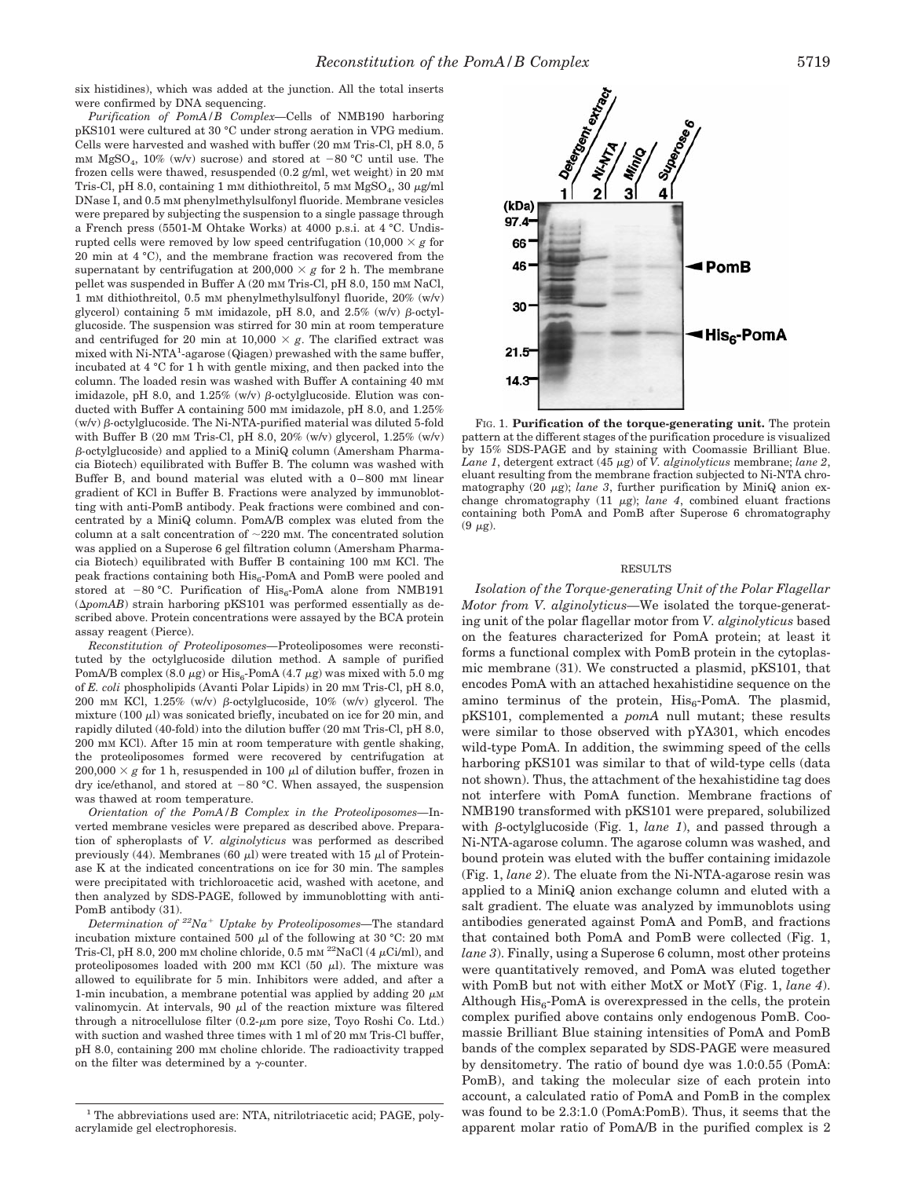six histidines), which was added at the junction. All the total inserts were confirmed by DNA sequencing.

*Purification of PomA/B Complex—*Cells of NMB190 harboring pKS101 were cultured at 30 °C under strong aeration in VPG medium. Cells were harvested and washed with buffer (20 mm Tris-Cl, pH 8.0, 5  $\rm mM$   $\rm MgSO_4,\ 10\%$   $\rm (w/v)$  sucrose) and stored at  $-80$   $^{\circ}{\rm C}$  until use. The frozen cells were thawed, resuspended (0.2 g/ml, wet weight) in 20 mM Tris-Cl, pH 8.0, containing 1 mM dithiothreitol, 5 mM  $MgSO<sub>4</sub>$ , 30  $\mu$ g/ml DNase I, and 0.5 mM phenylmethylsulfonyl fluoride. Membrane vesicles were prepared by subjecting the suspension to a single passage through a French press (5501-M Ohtake Works) at 4000 p.s.i. at 4 °C. Undisrupted cells were removed by low speed centrifugation  $(10,000 \times g$  for 20 min at 4 °C), and the membrane fraction was recovered from the supernatant by centrifugation at  $200,000 \times g$  for 2 h. The membrane pellet was suspended in Buffer A (20 mM Tris-Cl, pH 8.0, 150 mM NaCl, 1 mM dithiothreitol, 0.5 mM phenylmethylsulfonyl fluoride, 20% (w/v) glycerol) containing 5 mM imidazole, pH 8.0, and 2.5% (w/v)  $\beta$ -octylglucoside. The suspension was stirred for 30 min at room temperature and centrifuged for 20 min at  $10,000 \times g$ . The clarified extract was mixed with Ni-NTA<sup>1</sup>-agarose (Qiagen) prewashed with the same buffer, incubated at 4 °C for 1 h with gentle mixing, and then packed into the column. The loaded resin was washed with Buffer A containing 40 mM imidazole, pH 8.0, and  $1.25\%$  (w/v)  $\beta$ -octylglucoside. Elution was conducted with Buffer A containing 500 mM imidazole, pH 8.0, and 1.25%  $(w/v)$   $\beta$ -octylglucoside. The Ni-NTA-purified material was diluted 5-fold with Buffer B (20 mm Tris-Cl, pH 8.0, 20% (w/v) glycerol,  $1.25\%$  (w/v) b*-*octylglucoside) and applied to a MiniQ column (Amersham Pharmacia Biotech) equilibrated with Buffer B. The column was washed with Buffer B, and bound material was eluted with a 0–800 mM linear gradient of KCl in Buffer B. Fractions were analyzed by immunoblotting with anti-PomB antibody. Peak fractions were combined and concentrated by a MiniQ column. PomA/B complex was eluted from the column at a salt concentration of  $\sim$ 220 mM. The concentrated solution was applied on a Superose 6 gel filtration column (Amersham Pharmacia Biotech) equilibrated with Buffer B containing 100 mM KCl. The peak fractions containing both  $His_6$ -PomA and PomB were pooled and stored at  $-80$  °C. Purification of His<sub>6</sub>-PomA alone from NMB191  $(\Delta pomAB)$  strain harboring pKS101 was performed essentially as described above. Protein concentrations were assayed by the BCA protein assay reagent (Pierce).

*Reconstitution of Proteoliposomes—*Proteoliposomes were reconstituted by the octylglucoside dilution method. A sample of purified PomA/B complex (8.0  $\mu$ g) or His<sub>6</sub>-PomA (4.7  $\mu$ g) was mixed with 5.0 mg of *E. coli* phospholipids (Avanti Polar Lipids) in 20 mM Tris-Cl, pH 8.0, 200 mM KCl, 1.25% (w/v) b*-*octylglucoside, 10% (w/v) glycerol. The mixture (100  $\mu$ l) was sonicated briefly, incubated on ice for 20 min, and rapidly diluted (40-fold) into the dilution buffer (20 mM Tris-Cl, pH 8.0, 200 mM KCl). After 15 min at room temperature with gentle shaking, the proteoliposomes formed were recovered by centrifugation at  $200,000 \times g$  for 1 h, resuspended in 100  $\mu$ l of dilution buffer, frozen in dry ice/ethanol, and stored at  $-80$  °C. When assayed, the suspension was thawed at room temperature.

*Orientation of the PomA/B Complex in the Proteoliposomes—*Inverted membrane vesicles were prepared as described above. Preparation of spheroplasts of *V. alginolyticus* was performed as described previously (44). Membranes (60  $\mu$ ) were treated with 15  $\mu$ l of Proteinase K at the indicated concentrations on ice for 30 min. The samples were precipitated with trichloroacetic acid, washed with acetone, and then analyzed by SDS-PAGE, followed by immunoblotting with anti-PomB antibody (31).

*Determination of 22Na*<sup>1</sup> *Uptake by Proteoliposomes—*The standard incubation mixture contained 500  $\mu$ l of the following at 30 °C: 20 mM Tris-Cl, pH 8.0, 200 mM choline chloride, 0.5 mM <sup>22</sup>NaCl (4  $\mu$ Ci/ml), and proteoliposomes loaded with 200 mm KCl (50  $\mu$ l). The mixture was allowed to equilibrate for 5 min. Inhibitors were added, and after a 1-min incubation, a membrane potential was applied by adding 20  $\mu$ M valinomycin. At intervals, 90  $\mu$ l of the reaction mixture was filtered through a nitrocellulose filter  $(0.2-\mu m)$  pore size, Toyo Roshi Co. Ltd.) with suction and washed three times with 1 ml of 20 mM Tris-Cl buffer, pH 8.0, containing 200 mM choline chloride. The radioactivity trapped on the filter was determined by a  $\gamma$ -counter.



FIG. 1. **Purification of the torque-generating unit.** The protein pattern at the different stages of the purification procedure is visualized by 15% SDS-PAGE and by staining with Coomassie Brilliant Blue. *Lane 1*, detergent extract (45  $\mu$ g) of *V. alginolyticus* membrane; *lane 2*, eluant resulting from the membrane fraction subjected to Ni-NTA chromatography (20  $\mu$ g); *lane 3*, further purification by MiniQ anion exchange chromatography (11  $\mu$ g); *lane 4*, combined eluant fractions containing both PomA and PomB after Superose 6 chromatography  $(9 \mu g)$ .

### RESULTS

*Isolation of the Torque-generating Unit of the Polar Flagellar Motor from V. alginolyticus—*We isolated the torque-generating unit of the polar flagellar motor from *V. alginolyticus* based on the features characterized for PomA protein; at least it forms a functional complex with PomB protein in the cytoplasmic membrane (31). We constructed a plasmid, pKS101, that encodes PomA with an attached hexahistidine sequence on the amino terminus of the protein,  $His_{6}$ -PomA. The plasmid, pKS101, complemented a *pomA* null mutant; these results were similar to those observed with pYA301, which encodes wild-type PomA. In addition, the swimming speed of the cells harboring pKS101 was similar to that of wild-type cells (data not shown). Thus, the attachment of the hexahistidine tag does not interfere with PomA function. Membrane fractions of NMB190 transformed with pKS101 were prepared, solubilized with  $\beta$ -octylglucoside (Fig. 1, *lane 1*), and passed through a Ni-NTA-agarose column. The agarose column was washed, and bound protein was eluted with the buffer containing imidazole (Fig. 1, *lane 2*). The eluate from the Ni-NTA-agarose resin was applied to a MiniQ anion exchange column and eluted with a salt gradient. The eluate was analyzed by immunoblots using antibodies generated against PomA and PomB, and fractions that contained both PomA and PomB were collected (Fig. 1, *lane 3*). Finally, using a Superose 6 column, most other proteins were quantitatively removed, and PomA was eluted together with PomB but not with either MotX or MotY (Fig. 1, *lane 4*). Although  $His<sub>6</sub>$ -PomA is overexpressed in the cells, the protein complex purified above contains only endogenous PomB. Coomassie Brilliant Blue staining intensities of PomA and PomB bands of the complex separated by SDS-PAGE were measured by densitometry. The ratio of bound dye was 1.0:0.55 (PomA: PomB), and taking the molecular size of each protein into account, a calculated ratio of PomA and PomB in the complex was found to be 2.3:1.0 (PomA:PomB). Thus, it seems that the apparent molar ratio of PomA/B in the purified complex is 2

<sup>&</sup>lt;sup>1</sup> The abbreviations used are: NTA, nitrilotriacetic acid; PAGE, polyacrylamide gel electrophoresis.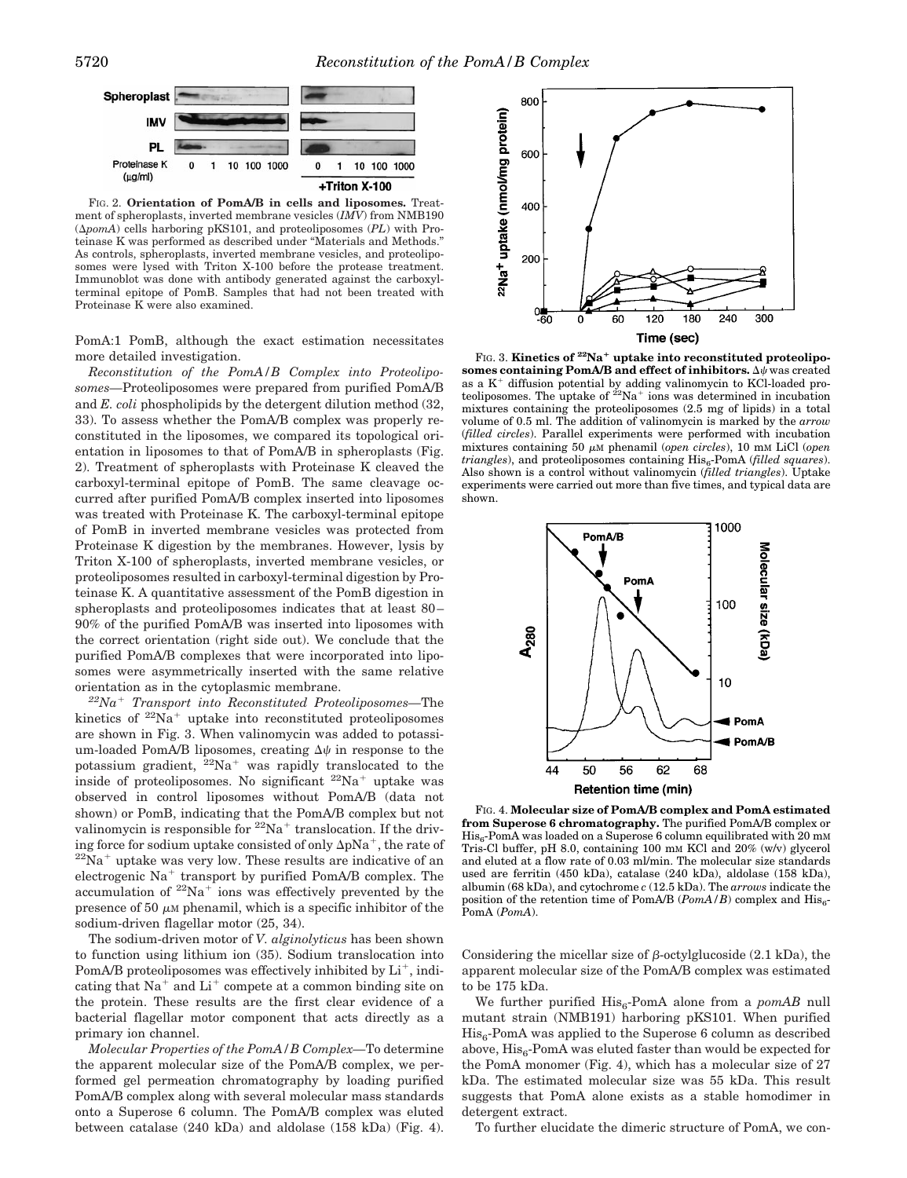

FIG. 2. **Orientation of PomA/B in cells and liposomes.** Treatment of spheroplasts, inverted membrane vesicles (*IMV*) from NMB190 (D*pomA*) cells harboring pKS101, and proteoliposomes (*PL*) with Proteinase K was performed as described under "Materials and Methods." As controls, spheroplasts, inverted membrane vesicles, and proteoliposomes were lysed with Triton X-100 before the protease treatment. Immunoblot was done with antibody generated against the carboxylterminal epitope of PomB. Samples that had not been treated with Proteinase K were also examined.

PomA:1 PomB, although the exact estimation necessitates more detailed investigation.

*Reconstitution of the PomA/B Complex into Proteoliposomes—*Proteoliposomes were prepared from purified PomA/B and *E. coli* phospholipids by the detergent dilution method (32, 33). To assess whether the PomA/B complex was properly reconstituted in the liposomes, we compared its topological orientation in liposomes to that of PomA/B in spheroplasts (Fig. 2). Treatment of spheroplasts with Proteinase K cleaved the carboxyl-terminal epitope of PomB. The same cleavage occurred after purified PomA/B complex inserted into liposomes was treated with Proteinase K. The carboxyl-terminal epitope of PomB in inverted membrane vesicles was protected from Proteinase K digestion by the membranes. However, lysis by Triton X-100 of spheroplasts, inverted membrane vesicles, or proteoliposomes resulted in carboxyl-terminal digestion by Proteinase K. A quantitative assessment of the PomB digestion in spheroplasts and proteoliposomes indicates that at least 80– 90% of the purified PomA/B was inserted into liposomes with the correct orientation (right side out). We conclude that the purified PomA/B complexes that were incorporated into liposomes were asymmetrically inserted with the same relative orientation as in the cytoplasmic membrane.

*22Na*<sup>1</sup> *Transport into Reconstituted Proteoliposomes—*The kinetics of  $2^2$ Na<sup>+</sup> uptake into reconstituted proteoliposomes are shown in Fig. 3. When valinomycin was added to potassium-loaded PomA/B liposomes, creating  $\Delta \psi$  in response to the potassium gradient,  $^{22}Na^{+}$  was rapidly translocated to the inside of proteoliposomes. No significant  $22Na<sup>+</sup>$  uptake was observed in control liposomes without PomA/B (data not shown) or PomB, indicating that the PomA/B complex but not valinomycin is responsible for  $22\text{Na}^+$  translocation. If the driving force for sodium uptake consisted of only  $\Delta pNa^{+}$ , the rate of  $^{22}Na^{+}$  uptake was very low. These results are indicative of an electrogenic  $Na<sup>+</sup>$  transport by purified PomA/B complex. The accumulation of  $2^{2}Na^{+}$  ions was effectively prevented by the presence of 50  $\mu$ M phenamil, which is a specific inhibitor of the sodium-driven flagellar motor (25, 34).

The sodium-driven motor of *V. alginolyticus* has been shown to function using lithium ion (35). Sodium translocation into PomA/B proteoliposomes was effectively inhibited by  $Li^+$ , indicating that  $Na^+$  and  $Li^+$  compete at a common binding site on the protein. These results are the first clear evidence of a bacterial flagellar motor component that acts directly as a primary ion channel.

*Molecular Properties of the PomA/B Complex—*To determine the apparent molecular size of the PomA/B complex, we performed gel permeation chromatography by loading purified PomA/B complex along with several molecular mass standards onto a Superose 6 column. The PomA/B complex was eluted between catalase (240 kDa) and aldolase (158 kDa) (Fig. 4).



FIG. 3. **Kinetics of <sup>22</sup>Na<sup>+</sup> uptake into reconstituted proteoliposomes containing PomA/B and effect of inhibitors.**  $\Delta \psi$  was created as a  $K^+$  diffusion potential by adding valinomycin to KCl-loaded proteoliposomes. The uptake of  $2^{2}Na^{+}$  ions was determined in incubation mixtures containing the proteoliposomes (2.5 mg of lipids) in a total volume of 0.5 ml. The addition of valinomycin is marked by the *arrow* (*filled circles*). Parallel experiments were performed with incubation mixtures containing 50  $\mu$ M phenamil (*open circles*), 10 mM LiCl (*open triangles*), and proteoliposomes containing  $His<sub>6</sub>$ -PomA (*filled squares*). Also shown is a control without valinomycin (*filled triangles*). Uptake experiments were carried out more than five times, and typical data are shown.



FIG. 4. **Molecular size of PomA/B complex and PomA estimated from Superose 6 chromatography.** The purified PomA/B complex or  $His<sub>6</sub>$ -PomA was loaded on a Superose 6 column equilibrated with 20 mm Tris-Cl buffer, pH 8.0, containing 100 mM KCl and 20% (w/v) glycerol and eluted at a flow rate of 0.03 ml/min. The molecular size standards used are ferritin (450 kDa), catalase (240 kDa), aldolase (158 kDa), albumin (68 kDa), and cytochrome *c* (12.5 kDa). The *arrows* indicate the position of the retention time of PomA/B ( $PomA/B$ ) complex and His<sub>6</sub>-PomA (*PomA*).

Considering the micellar size of  $\beta$ -octylglucoside (2.1 kDa), the apparent molecular size of the PomA/B complex was estimated to be 175 kDa.

We further purified His<sub>6</sub>-PomA alone from a *pomAB* null mutant strain (NMB191) harboring pKS101. When purified  $His<sub>6</sub>-PomA was applied to the Superose 6 column as described$ above,  $His<sub>6</sub>$ -PomA was eluted faster than would be expected for the PomA monomer (Fig. 4), which has a molecular size of 27 kDa. The estimated molecular size was 55 kDa. This result suggests that PomA alone exists as a stable homodimer in detergent extract.

To further elucidate the dimeric structure of PomA, we con-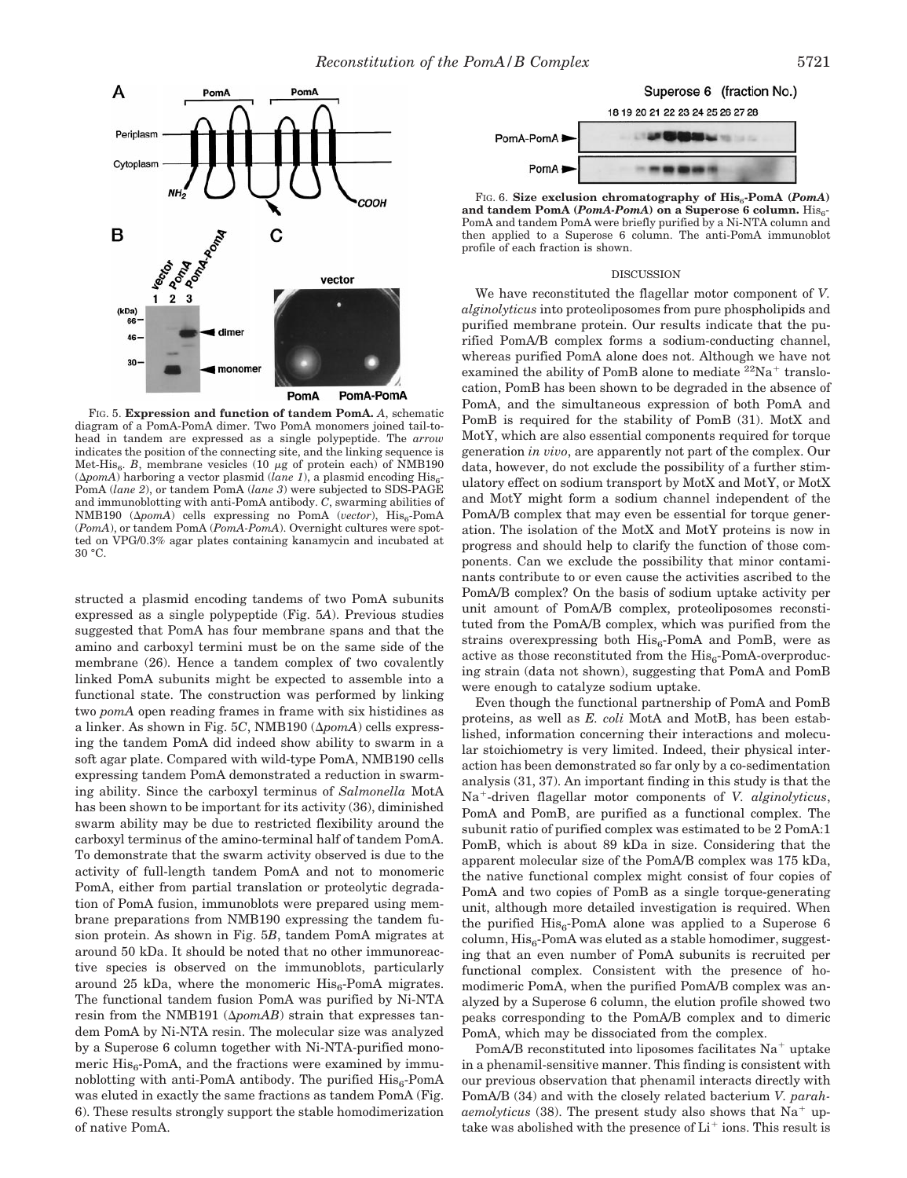

FIG. 5. **Expression and function of tandem PomA.** *A*, schematic diagram of a PomA-PomA dimer. Two PomA monomers joined tail-tohead in tandem are expressed as a single polypeptide. The *arrow* indicates the position of the connecting site, and the linking sequence is Met-His<sub>6</sub>. *B*, membrane vesicles (10  $\mu$ g of protein each) of NMB190  $(\Delta pomA)$  harboring a vector plasmid (*lane 1*), a plasmid encoding His<sub>6</sub>-PomA (*lane 2*), or tandem PomA (*lane 3*) were subjected to SDS-PAGE and immunoblotting with anti-PomA antibody. *C*, swarming abilities of NMB190 ( $\Delta p$ omA) cells expressing no PomA (*vector*), His<sub>6</sub>-PomA (*PomA*), or tandem PomA (*PomA-PomA*). Overnight cultures were spotted on VPG/0.3% agar plates containing kanamycin and incubated at 30 °C.

structed a plasmid encoding tandems of two PomA subunits expressed as a single polypeptide (Fig. 5*A*). Previous studies suggested that PomA has four membrane spans and that the amino and carboxyl termini must be on the same side of the membrane (26). Hence a tandem complex of two covalently linked PomA subunits might be expected to assemble into a functional state. The construction was performed by linking two *pomA* open reading frames in frame with six histidines as a linker. As shown in Fig. 5C, NMB190 ( $\Delta p$ omA) cells expressing the tandem PomA did indeed show ability to swarm in a soft agar plate. Compared with wild-type PomA, NMB190 cells expressing tandem PomA demonstrated a reduction in swarming ability. Since the carboxyl terminus of *Salmonella* MotA has been shown to be important for its activity (36), diminished swarm ability may be due to restricted flexibility around the carboxyl terminus of the amino-terminal half of tandem PomA. To demonstrate that the swarm activity observed is due to the activity of full-length tandem PomA and not to monomeric PomA, either from partial translation or proteolytic degradation of PomA fusion, immunoblots were prepared using membrane preparations from NMB190 expressing the tandem fusion protein. As shown in Fig. 5*B*, tandem PomA migrates at around 50 kDa. It should be noted that no other immunoreactive species is observed on the immunoblots, particularly around 25 kDa, where the monomeric  $His<sub>6</sub>$ -PomA migrates. The functional tandem fusion PomA was purified by Ni-NTA resin from the NMB191 ( $\Delta p$ *omAB*) strain that expresses tandem PomA by Ni-NTA resin. The molecular size was analyzed by a Superose 6 column together with Ni-NTA-purified monomeric  $His<sub>6</sub>$ -PomA, and the fractions were examined by immunoblotting with anti-PomA antibody. The purified  $His<sub>6</sub>$ -PomA was eluted in exactly the same fractions as tandem PomA (Fig. 6). These results strongly support the stable homodimerization of native PomA.





FIG. 6. Size exclusion chromatography of  $\text{His}_{6}$ -PomA (*PomA*) and tandem PomA ( $PomA-PomA$ ) on a Superose 6 column.  $His<sub>6</sub>$ PomA and tandem PomA were briefly purified by a Ni-NTA column and then applied to a Superose 6 column. The anti-PomA immunoblot profile of each fraction is shown.

### DISCUSSION

We have reconstituted the flagellar motor component of *V. alginolyticus* into proteoliposomes from pure phospholipids and purified membrane protein. Our results indicate that the purified PomA/B complex forms a sodium-conducting channel, whereas purified PomA alone does not. Although we have not examined the ability of PomB alone to mediate  ${}^{22}$ Na<sup>+</sup> translocation, PomB has been shown to be degraded in the absence of PomA, and the simultaneous expression of both PomA and PomB is required for the stability of PomB (31). MotX and MotY, which are also essential components required for torque generation *in vivo*, are apparently not part of the complex. Our data, however, do not exclude the possibility of a further stimulatory effect on sodium transport by MotX and MotY, or MotX and MotY might form a sodium channel independent of the PomA/B complex that may even be essential for torque generation. The isolation of the MotX and MotY proteins is now in progress and should help to clarify the function of those components. Can we exclude the possibility that minor contaminants contribute to or even cause the activities ascribed to the PomA/B complex? On the basis of sodium uptake activity per unit amount of PomA/B complex, proteoliposomes reconstituted from the PomA/B complex, which was purified from the strains overexpressing both  $His<sub>6</sub>$ -PomA and PomB, were as active as those reconstituted from the  $His<sub>6</sub>$ -PomA-overproducing strain (data not shown), suggesting that PomA and PomB were enough to catalyze sodium uptake.

Even though the functional partnership of PomA and PomB proteins, as well as *E. coli* MotA and MotB, has been established, information concerning their interactions and molecular stoichiometry is very limited. Indeed, their physical interaction has been demonstrated so far only by a co-sedimentation analysis (31, 37). An important finding in this study is that the Na<sup>+</sup>-driven flagellar motor components of *V. alginolyticus*, PomA and PomB, are purified as a functional complex. The subunit ratio of purified complex was estimated to be 2 PomA:1 PomB, which is about 89 kDa in size. Considering that the apparent molecular size of the PomA/B complex was 175 kDa, the native functional complex might consist of four copies of PomA and two copies of PomB as a single torque-generating unit, although more detailed investigation is required. When the purified  $His<sub>6</sub>$ -PomA alone was applied to a Superose 6  $column, His<sub>6</sub>-PomA was eluted as a stable homodimer, suggest$ ing that an even number of PomA subunits is recruited per functional complex. Consistent with the presence of homodimeric PomA, when the purified PomA/B complex was analyzed by a Superose 6 column, the elution profile showed two peaks corresponding to the PomA/B complex and to dimeric PomA, which may be dissociated from the complex.

PomA/B reconstituted into liposomes facilitates  $Na<sup>+</sup>$  uptake in a phenamil-sensitive manner. This finding is consistent with our previous observation that phenamil interacts directly with PomA/B (34) and with the closely related bacterium *V. parahaemolyticus* (38). The present study also shows that  $Na<sup>+</sup>$  uptake was abolished with the presence of  $Li^+$  ions. This result is